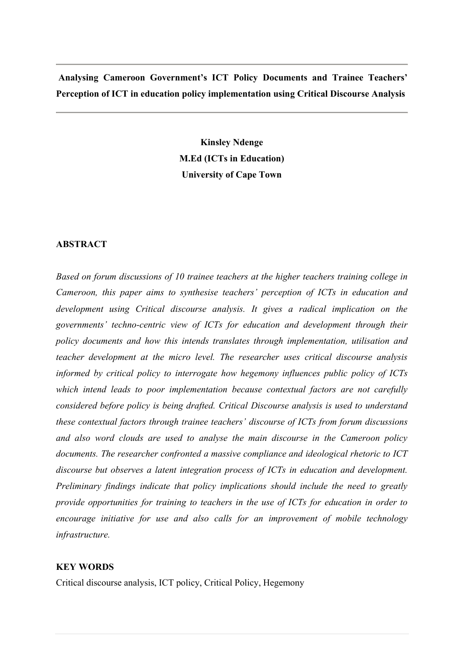# **Analysing Cameroon Government's ICT Policy Documents and Trainee Teachers' Perception of ICT in education policy implementation using Critical Discourse Analysis**

**Kinsley Ndenge M.Ed (ICTs in Education) University of Cape Town**

#### **ABSTRACT**

*Based on forum discussions of 10 trainee teachers at the higher teachers training college in Cameroon, this paper aims to synthesise teachers' perception of ICTs in education and development using Critical discourse analysis. It gives a radical implication on the governments' techno-centric view of ICTs for education and development through their policy documents and how this intends translates through implementation, utilisation and teacher development at the micro level. The researcher uses critical discourse analysis informed by critical policy to interrogate how hegemony influences public policy of ICTs which intend leads to poor implementation because contextual factors are not carefully considered before policy is being drafted. Critical Discourse analysis is used to understand these contextual factors through trainee teachers' discourse of ICTs from forum discussions and also word clouds are used to analyse the main discourse in the Cameroon policy documents. The researcher confronted a massive compliance and ideological rhetoric to ICT discourse but observes a latent integration process of ICTs in education and development. Preliminary findings indicate that policy implications should include the need to greatly provide opportunities for training to teachers in the use of ICTs for education in order to encourage initiative for use and also calls for an improvement of mobile technology infrastructure.*

#### **KEY WORDS**

Critical discourse analysis, ICT policy, Critical Policy, Hegemony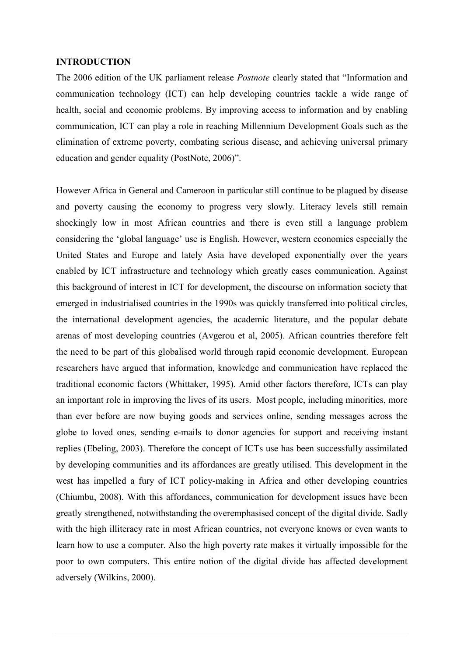#### **INTRODUCTION**

The 2006 edition of the UK parliament release *Postnote* clearly stated that "Information and communication technology (ICT) can help developing countries tackle a wide range of health, social and economic problems. By improving access to information and by enabling communication, ICT can play a role in reaching Millennium Development Goals such as the elimination of extreme poverty, combating serious disease, and achieving universal primary education and gender equality (PostNote, 2006)".

However Africa in General and Cameroon in particular still continue to be plagued by disease and poverty causing the economy to progress very slowly. Literacy levels still remain shockingly low in most African countries and there is even still a language problem considering the 'global language' use is English. However, western economies especially the United States and Europe and lately Asia have developed exponentially over the years enabled by ICT infrastructure and technology which greatly eases communication. Against this background of interest in ICT for development, the discourse on information society that emerged in industrialised countries in the 1990s was quickly transferred into political circles, the international development agencies, the academic literature, and the popular debate arenas of most developing countries (Avgerou et al, 2005). African countries therefore felt the need to be part of this globalised world through rapid economic development. European researchers have argued that information, knowledge and communication have replaced the traditional economic factors (Whittaker, 1995). Amid other factors therefore, ICTs can play an important role in improving the lives of its users. Most people, including minorities, more than ever before are now buying goods and services online, sending messages across the globe to loved ones, sending e-mails to donor agencies for support and receiving instant replies (Ebeling, 2003). Therefore the concept of ICTs use has been successfully assimilated by developing communities and its affordances are greatly utilised. This development in the west has impelled a fury of ICT policy-making in Africa and other developing countries (Chiumbu, 2008). With this affordances, communication for development issues have been greatly strengthened, notwithstanding the overemphasised concept of the digital divide. Sadly with the high illiteracy rate in most African countries, not everyone knows or even wants to learn how to use a computer. Also the high poverty rate makes it virtually impossible for the poor to own computers. This entire notion of the digital divide has affected development adversely (Wilkins, 2000).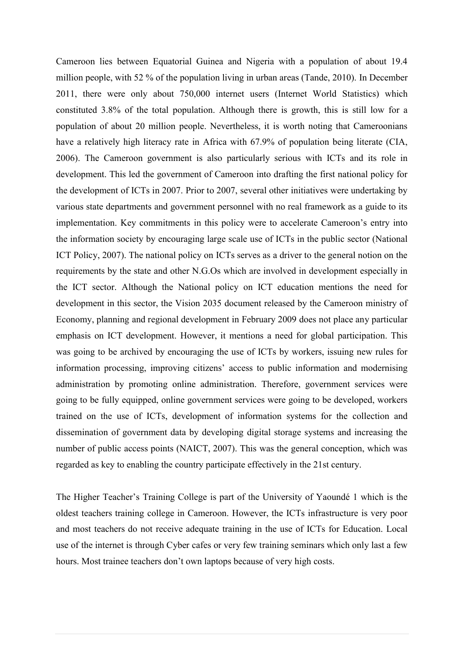Cameroon lies between Equatorial Guinea and Nigeria with a population of about 19.4 million people, with 52 % of the population living in urban areas (Tande, 2010). In December 2011, there were only about 750,000 internet users (Internet World Statistics) which constituted 3.8% of the total population. Although there is growth, this is still low for a population of about 20 million people. Nevertheless, it is worth noting that Cameroonians have a relatively high literacy rate in Africa with 67.9% of population being literate (CIA, 2006). The Cameroon government is also particularly serious with ICTs and its role in development. This led the government of Cameroon into drafting the first national policy for the development of ICTs in 2007. Prior to 2007, several other initiatives were undertaking by various state departments and government personnel with no real framework as a guide to its implementation. Key commitments in this policy were to accelerate Cameroon's entry into the information society by encouraging large scale use of ICTs in the public sector (National ICT Policy, 2007). The national policy on ICTs serves as a driver to the general notion on the requirements by the state and other N.G.Os which are involved in development especially in the ICT sector. Although the National policy on ICT education mentions the need for development in this sector, the Vision 2035 document released by the Cameroon ministry of Economy, planning and regional development in February 2009 does not place any particular emphasis on ICT development. However, it mentions a need for global participation. This was going to be archived by encouraging the use of ICTs by workers, issuing new rules for information processing, improving citizens' access to public information and modernising administration by promoting online administration. Therefore, government services were going to be fully equipped, online government services were going to be developed, workers trained on the use of ICTs, development of information systems for the collection and dissemination of government data by developing digital storage systems and increasing the number of public access points (NAICT, 2007). This was the general conception, which was regarded as key to enabling the country participate effectively in the 21st century.

The Higher Teacher's Training College is part of the University of Yaoundé 1 which is the oldest teachers training college in Cameroon. However, the ICTs infrastructure is very poor and most teachers do not receive adequate training in the use of ICTs for Education. Local use of the internet is through Cyber cafes or very few training seminars which only last a few hours. Most trainee teachers don't own laptops because of very high costs.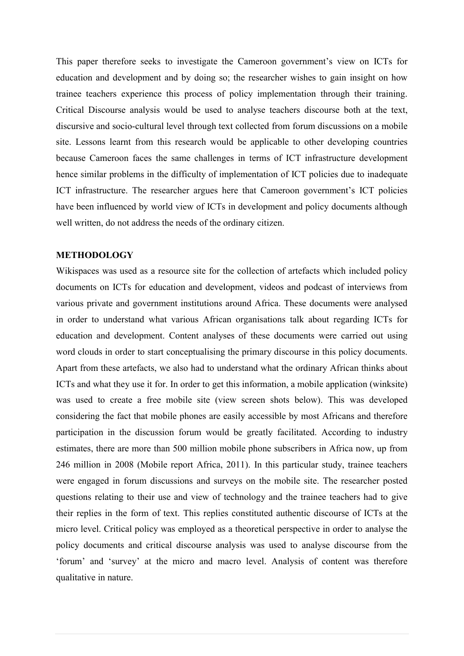This paper therefore seeks to investigate the Cameroon government's view on ICTs for education and development and by doing so; the researcher wishes to gain insight on how trainee teachers experience this process of policy implementation through their training. Critical Discourse analysis would be used to analyse teachers discourse both at the text, discursive and socio-cultural level through text collected from forum discussions on a mobile site. Lessons learnt from this research would be applicable to other developing countries because Cameroon faces the same challenges in terms of ICT infrastructure development hence similar problems in the difficulty of implementation of ICT policies due to inadequate ICT infrastructure. The researcher argues here that Cameroon government's ICT policies have been influenced by world view of ICTs in development and policy documents although well written, do not address the needs of the ordinary citizen.

#### **METHODOLOGY**

Wikispaces was used as a resource site for the collection of artefacts which included policy documents on ICTs for education and development, videos and podcast of interviews from various private and government institutions around Africa. These documents were analysed in order to understand what various African organisations talk about regarding ICTs for education and development. Content analyses of these documents were carried out using word clouds in order to start conceptualising the primary discourse in this policy documents. Apart from these artefacts, we also had to understand what the ordinary African thinks about ICTs and what they use it for. In order to get this information, a mobile application (winksite) was used to create a free mobile site (view screen shots below). This was developed considering the fact that mobile phones are easily accessible by most Africans and therefore participation in the discussion forum would be greatly facilitated. According to industry estimates, there are more than 500 million mobile phone subscribers in Africa now, up from 246 million in 2008 (Mobile report Africa, 2011). In this particular study, trainee teachers were engaged in forum discussions and surveys on the mobile site. The researcher posted questions relating to their use and view of technology and the trainee teachers had to give their replies in the form of text. This replies constituted authentic discourse of ICTs at the micro level. Critical policy was employed as a theoretical perspective in order to analyse the policy documents and critical discourse analysis was used to analyse discourse from the 'forum' and 'survey' at the micro and macro level. Analysis of content was therefore qualitative in nature.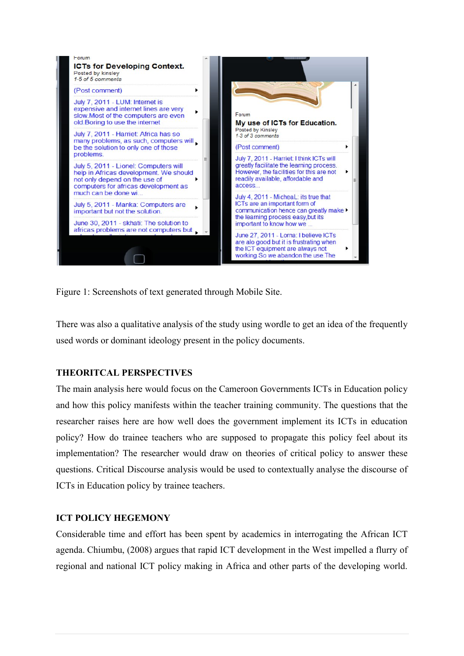

Figure 1: Screenshots of text generated through Mobile Site.

There was also a qualitative analysis of the study using wordle to get an idea of the frequently used words or dominant ideology present in the policy documents.

# **THEORITCAL PERSPECTIVES**

The main analysis here would focus on the Cameroon Governments ICTs in Education policy and how this policy manifests within the teacher training community. The questions that the researcher raises here are how well does the government implement its ICTs in education policy? How do trainee teachers who are supposed to propagate this policy feel about its implementation? The researcher would draw on theories of critical policy to answer these questions. Critical Discourse analysis would be used to contextually analyse the discourse of ICTs in Education policy by trainee teachers.

# **ICT POLICY HEGEMONY**

Considerable time and effort has been spent by academics in interrogating the African ICT agenda. Chiumbu, (2008) argues that rapid ICT development in the West impelled a flurry of regional and national ICT policy making in Africa and other parts of the developing world.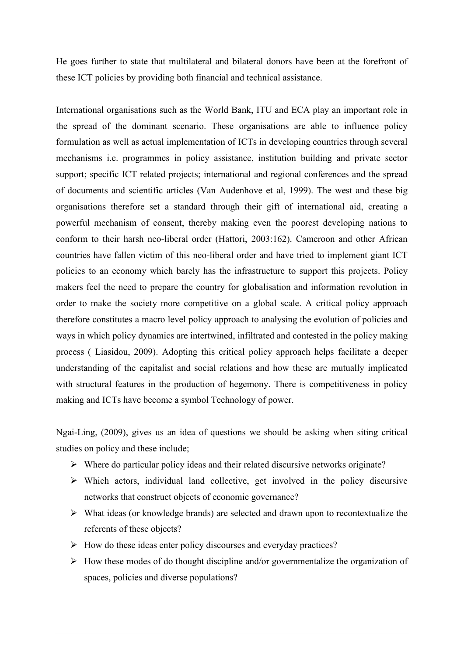He goes further to state that multilateral and bilateral donors have been at the forefront of these ICT policies by providing both financial and technical assistance.

International organisations such as the World Bank, ITU and ECA play an important role in the spread of the dominant scenario. These organisations are able to influence policy formulation as well as actual implementation of ICTs in developing countries through several mechanisms i.e. programmes in policy assistance, institution building and private sector support; specific ICT related projects; international and regional conferences and the spread of documents and scientific articles (Van Audenhove et al, 1999). The west and these big organisations therefore set a standard through their gift of international aid, creating a powerful mechanism of consent, thereby making even the poorest developing nations to conform to their harsh neo-liberal order (Hattori, 2003:162). Cameroon and other African countries have fallen victim of this neo-liberal order and have tried to implement giant ICT policies to an economy which barely has the infrastructure to support this projects. Policy makers feel the need to prepare the country for globalisation and information revolution in order to make the society more competitive on a global scale. A critical policy approach therefore constitutes a macro level policy approach to analysing the evolution of policies and ways in which policy dynamics are intertwined, infiltrated and contested in the policy making process ( Liasidou, 2009). Adopting this critical policy approach helps facilitate a deeper understanding of the capitalist and social relations and how these are mutually implicated with structural features in the production of hegemony. There is competitiveness in policy making and ICTs have become a symbol Technology of power.

Ngai-Ling, (2009), gives us an idea of questions we should be asking when siting critical studies on policy and these include;

- $\triangleright$  Where do particular policy ideas and their related discursive networks originate?
- $\triangleright$  Which actors, individual land collective, get involved in the policy discursive networks that construct objects of economic governance?
- $\triangleright$  What ideas (or knowledge brands) are selected and drawn upon to recontextualize the referents of these objects?
- $\triangleright$  How do these ideas enter policy discourses and everyday practices?
- $\triangleright$  How these modes of do thought discipline and/or governmentalize the organization of spaces, policies and diverse populations?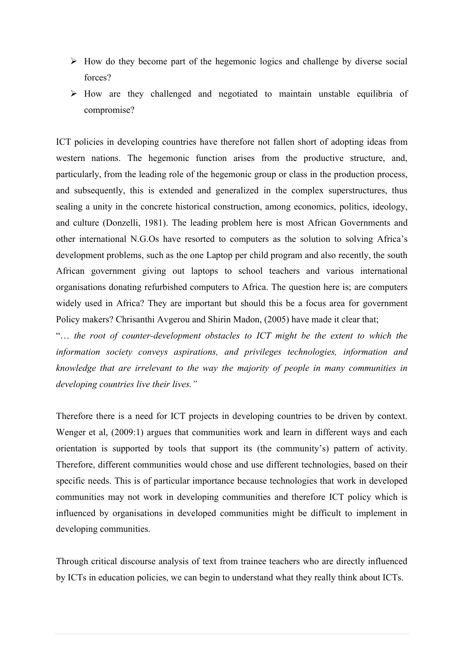- $\triangleright$  How do they become part of the hegemonic logics and challenge by diverse social forces?
- $\triangleright$  How are they challenged and negotiated to maintain unstable equilibria of compromise?

ICT policies in developing countries have therefore not fallen short of adopting ideas from western nations. The hegemonic function arises from the productive structure, and, particularly, from the leading role of the hegemonic group or class in the production process, and subsequently, this is extended and generalized in the complex superstructures, thus sealing a unity in the concrete historical construction, among economics, politics, ideology, and culture (Donzelli, 1981). The leading problem here is most African Governments and other international N.G.Os have resorted to computers as the solution to solving Africa's development problems, such as the one Laptop per child program and also recently, the south African government giving out laptops to school teachers and various international organisations donating refurbished computers to Africa. The question here is; are computers widely used in Africa? They are important but should this be a focus area for government Policy makers? Chrisanthi Avgerou and Shirin Madon, (2005) have made it clear that;

"… *the root of counter-development obstacles to ICT might be the extent to which the information society conveys aspirations, and privileges technologies, information and knowledge that are irrelevant to the way the majority of people in many communities in developing countries live their lives."*

Therefore there is a need for ICT projects in developing countries to be driven by context. Wenger et al,  $(2009:1)$  argues that communities work and learn in different ways and each orientation is supported by tools that support its (the community's) pattern of activity. Therefore, different communities would chose and use different technologies, based on their specific needs. This is of particular importance because technologies that work in developed communities may not work in developing communities and therefore ICT policy which is influenced by organisations in developed communities might be difficult to implement in developing communities.

Through critical discourse analysis of text from trainee teachers who are directly influenced by ICTs in education policies, we can begin to understand what they really think about ICTs.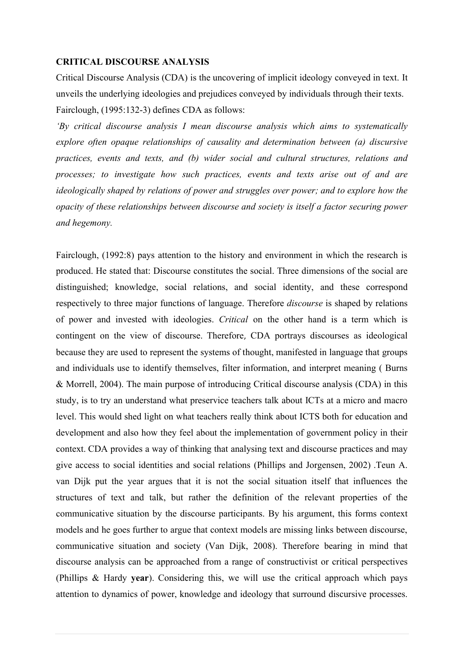#### **CRITICAL DISCOURSE ANALYSIS**

Critical Discourse Analysis (CDA) is the uncovering of implicit ideology conveyed in text. It unveils the underlying ideologies and prejudices conveyed by individuals through their texts. Fairclough, (1995:132-3) defines CDA as follows:

*'By critical discourse analysis I mean discourse analysis which aims to systematically explore often opaque relationships of causality and determination between (a) discursive practices, events and texts, and (b) wider social and cultural structures, relations and processes; to investigate how such practices, events and texts arise out of and are ideologically shaped by relations of power and struggles over power; and to explore how the opacity of these relationships between discourse and society is itself a factor securing power and hegemony.*

Fairclough, (1992:8) pays attention to the history and environment in which the research is produced. He stated that: Discourse constitutes the social. Three dimensions of the social are distinguished; knowledge, social relations, and social identity, and these correspond respectively to three major functions of language. Therefore *discourse* is shaped by relations of power and invested with ideologies. *Critical* on the other hand is a term which is contingent on the view of discourse. Therefore, CDA portrays discourses as ideological because they are used to represent the systems of thought, manifested in language that groups and individuals use to identify themselves, filter information, and interpret meaning ( Burns & Morrell, 2004). The main purpose of introducing Critical discourse analysis (CDA) in this study, is to try an understand what preservice teachers talk about ICTs at a micro and macro level. This would shed light on what teachers really think about ICTS both for education and development and also how they feel about the implementation of government policy in their context. CDA provides a way of thinking that analysing text and discourse practices and may give access to social identities and social relations (Phillips and Jorgensen, 2002) .Teun A. van Dijk put the year argues that it is not the social situation itself that influences the structures of text and talk, but rather the definition of the relevant properties of the communicative situation by the discourse participants. By his argument, this forms context models and he goes further to argue that context models are missing links between discourse, communicative situation and society (Van Dijk, 2008). Therefore bearing in mind that discourse analysis can be approached from a range of constructivist or critical perspectives (Phillips & Hardy **year**). Considering this, we will use the critical approach which pays attention to dynamics of power, knowledge and ideology that surround discursive processes.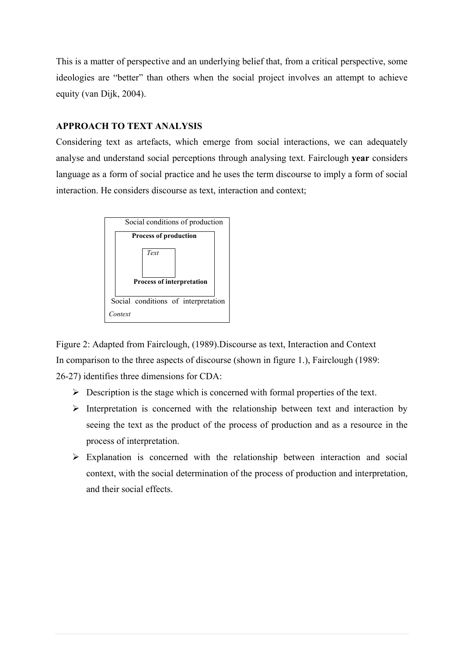This is a matter of perspective and an underlying belief that, from a critical perspective, some ideologies are "better" than others when the social project involves an attempt to achieve equity (van Dijk, 2004).

#### **APPROACH TO TEXT ANALYSIS**

Considering text as artefacts, which emerge from social interactions, we can adequately analyse and understand social perceptions through analysing text. Fairclough **year** considers language as a form of social practice and he uses the term discourse to imply a form of social interaction. He considers discourse as text, interaction and context;



Figure 2: Adapted from Fairclough, (1989).Discourse as text, Interaction and Context In comparison to the three aspects of discourse (shown in figure 1.), Fairclough (1989: 26-27) identifies three dimensions for CDA:

- $\triangleright$  Description is the stage which is concerned with formal properties of the text.
- $\triangleright$  Interpretation is concerned with the relationship between text and interaction by seeing the text as the product of the process of production and as a resource in the process of interpretation.
- $\triangleright$  Explanation is concerned with the relationship between interaction and social context, with the social determination of the process of production and interpretation, and their social effects.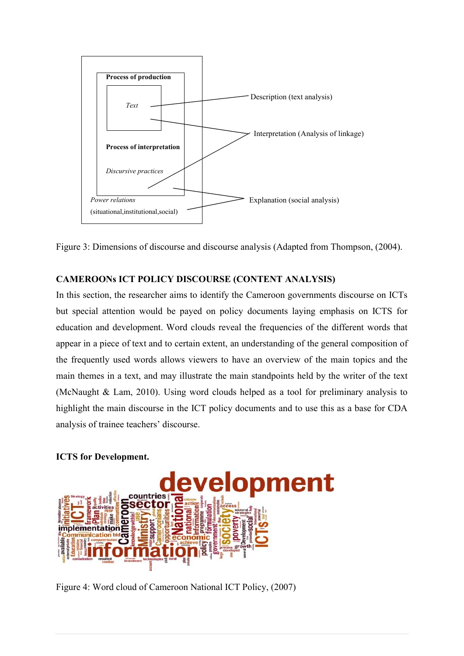

Figure 3: Dimensions of discourse and discourse analysis (Adapted from Thompson, (2004).

# **CAMEROONs ICT POLICY DISCOURSE (CONTENT ANALYSIS)**

In this section, the researcher aims to identify the Cameroon governments discourse on ICTs but special attention would be payed on policy documents laying emphasis on ICTS for education and development. Word clouds reveal the frequencies of the different words that appear in a piece of text and to certain extent, an understanding of the general composition of the frequently used words allows viewers to have an overview of the main topics and the main themes in a text, and may illustrate the main standpoints held by the writer of the text (McNaught & Lam, 2010). Using word clouds helped as a tool for preliminary analysis to highlight the main discourse in the ICT policy documents and to use this as a base for CDA analysis of trainee teachers' discourse.

#### **ICTS for Development.**



Figure 4: Word cloud of Cameroon National ICT Policy, (2007)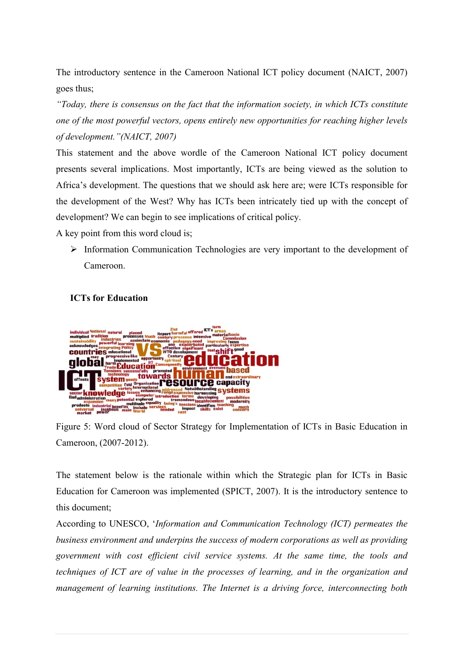The introductory sentence in the Cameroon National ICT policy document (NAICT, 2007) goes thus;

*"Today, there is consensus on the fact that the information society, in which ICTs constitute one of the most powerful vectors, opens entirely new opportunities for reaching higher levels of development."(NAICT, 2007)*

This statement and the above wordle of the Cameroon National ICT policy document presents several implications. Most importantly, ICTs are being viewed as the solution to Africa's development. The questions that we should ask here are; were ICTs responsible for the development of the West? Why has ICTs been intricately tied up with the concept of development? We can begin to see implications of critical policy.

A key point from this word cloud is;

ÿ Information Communication Technologies are very important to the development of Cameroon.

# **ICTs for Education**



Figure 5: Word cloud of Sector Strategy for Implementation of ICTs in Basic Education in Cameroon, (2007-2012).

The statement below is the rationale within which the Strategic plan for ICTs in Basic Education for Cameroon was implemented (SPICT, 2007). It is the introductory sentence to this document;

According to UNESCO, '*Information and Communication Technology (ICT) permeates the business environment and underpins the success of modern corporations as well as providing government with cost efficient civil service systems. At the same time, the tools and techniques of ICT are of value in the processes of learning, and in the organization and management of learning institutions. The Internet is a driving force, interconnecting both*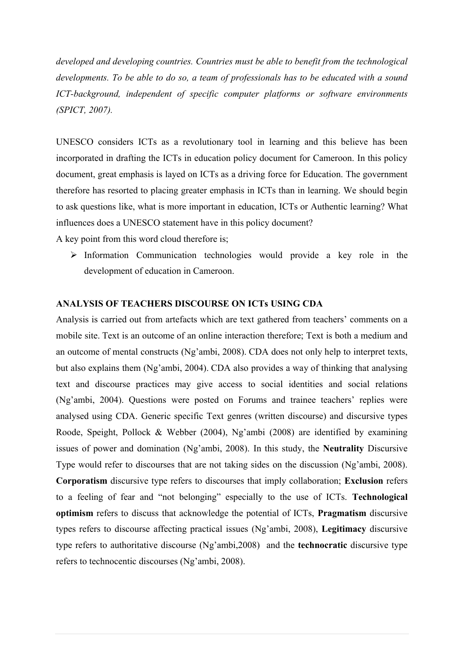*developed and developing countries. Countries must be able to benefit from the technological developments. To be able to do so, a team of professionals has to be educated with a sound ICT-background, independent of specific computer platforms or software environments (SPICT, 2007).*

UNESCO considers ICTs as a revolutionary tool in learning and this believe has been incorporated in drafting the ICTs in education policy document for Cameroon. In this policy document, great emphasis is layed on ICTs as a driving force for Education. The government therefore has resorted to placing greater emphasis in ICTs than in learning. We should begin to ask questions like, what is more important in education, ICTs or Authentic learning? What influences does a UNESCO statement have in this policy document?

A key point from this word cloud therefore is;

 $\triangleright$  Information Communication technologies would provide a key role in the development of education in Cameroon.

# **ANALYSIS OF TEACHERS DISCOURSE ON ICTs USING CDA**

Analysis is carried out from artefacts which are text gathered from teachers' comments on a mobile site. Text is an outcome of an online interaction therefore; Text is both a medium and an outcome of mental constructs (Ng'ambi, 2008). CDA does not only help to interpret texts, but also explains them (Ng'ambi, 2004). CDA also provides a way of thinking that analysing text and discourse practices may give access to social identities and social relations (Ng'ambi, 2004). Questions were posted on Forums and trainee teachers' replies were analysed using CDA. Generic specific Text genres (written discourse) and discursive types Roode, Speight, Pollock & Webber (2004), Ng'ambi (2008) are identified by examining issues of power and domination (Ng'ambi, 2008). In this study, the **Neutrality** Discursive Type would refer to discourses that are not taking sides on the discussion (Ng'ambi, 2008). **Corporatism** discursive type refers to discourses that imply collaboration; **Exclusion** refers to a feeling of fear and "not belonging" especially to the use of ICTs. **Technological optimism** refers to discuss that acknowledge the potential of ICTs, **Pragmatism** discursive types refers to discourse affecting practical issues (Ng'ambi, 2008), **Legitimacy** discursive type refers to authoritative discourse (Ng'ambi,2008) and the **technocratic** discursive type refers to technocentic discourses (Ng'ambi, 2008).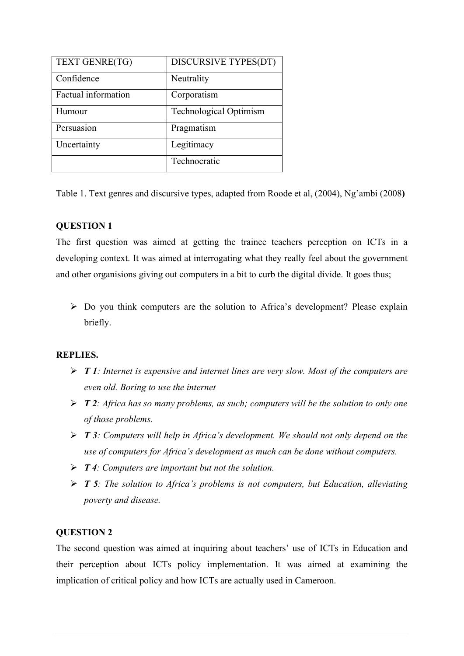| TEXT GENRE(TG)      | <b>DISCURSIVE TYPES(DT)</b>   |
|---------------------|-------------------------------|
| Confidence          | Neutrality                    |
| Factual information | Corporatism                   |
| Humour              | <b>Technological Optimism</b> |
| Persuasion          | Pragmatism                    |
| Uncertainty         | Legitimacy                    |
|                     | Technocratic                  |

Table 1. Text genres and discursive types, adapted from Roode et al, (2004), Ng'ambi (2008**)**

# **QUESTION 1**

The first question was aimed at getting the trainee teachers perception on ICTs in a developing context. It was aimed at interrogating what they really feel about the government and other organisions giving out computers in a bit to curb the digital divide. It goes thus;

 $\triangleright$  Do you think computers are the solution to Africa's development? Please explain briefly.

# **REPLIES.**

- ÿ *T 1: Internet is expensive and internet lines are very slow. Most of the computers are even old. Boring to use the internet*
- ÿ *T 2: Africa has so many problems, as such; computers will be the solution to only one of those problems.*
- ÿ *T 3: Computers will help in Africa's development. We should not only depend on the use of computers for Africa's development as much can be done without computers.*
- ÿ *T 4: Computers are important but not the solution.*
- ÿ *T 5: The solution to Africa's problems is not computers, but Education, alleviating poverty and disease.*

# **QUESTION 2**

The second question was aimed at inquiring about teachers' use of ICTs in Education and their perception about ICTs policy implementation. It was aimed at examining the implication of critical policy and how ICTs are actually used in Cameroon.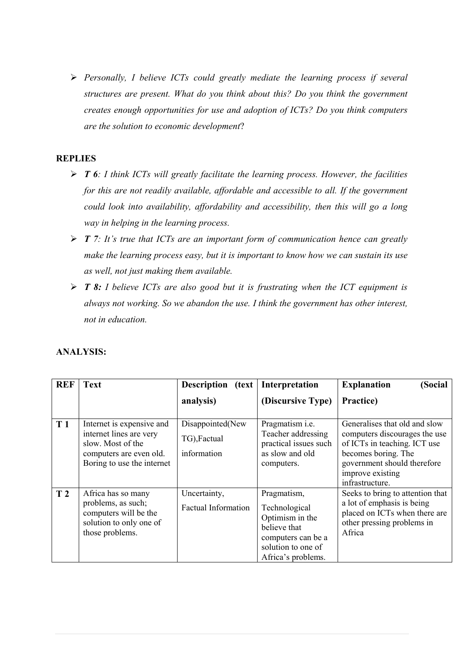ÿ *Personally, I believe ICTs could greatly mediate the learning process if several structures are present. What do you think about this? Do you think the government creates enough opportunities for use and adoption of ICTs? Do you think computers are the solution to economic development*?

# **REPLIES**

- ÿ *T 6: I think ICTs will greatly facilitate the learning process. However, the facilities for this are not readily available, affordable and accessible to all. If the government could look into availability, affordability and accessibility, then this will go a long way in helping in the learning process.*
- ÿ *T 7: It's true that ICTs are an important form of communication hence can greatly make the learning process easy, but it is important to know how we can sustain its use as well, not just making them available.*
- ÿ *T 8: I believe ICTs are also good but it is frustrating when the ICT equipment is always not working. So we abandon the use. I think the government has other interest, not in education.*

| <b>REF</b>     | <b>Text</b>                                                                                                                        | <b>Description</b><br>(text)                    | Interpretation                                                                                                                    | <b>Explanation</b><br>(Social                                                                                                                                                               |
|----------------|------------------------------------------------------------------------------------------------------------------------------------|-------------------------------------------------|-----------------------------------------------------------------------------------------------------------------------------------|---------------------------------------------------------------------------------------------------------------------------------------------------------------------------------------------|
|                |                                                                                                                                    | analysis)                                       | (Discursive Type)                                                                                                                 | Practice)                                                                                                                                                                                   |
| T1             | Internet is expensive and<br>internet lines are very<br>slow. Most of the<br>computers are even old.<br>Boring to use the internet | Disappointed(New<br>TG), Factual<br>information | Pragmatism i.e.<br>Teacher addressing<br>practical issues such<br>as slow and old<br>computers.                                   | Generalises that old and slow<br>computers discourages the use<br>of ICTs in teaching. ICT use<br>becomes boring. The<br>government should therefore<br>improve existing<br>infrastructure. |
| T <sub>2</sub> | Africa has so many<br>problems, as such;<br>computers will be the<br>solution to only one of<br>those problems.                    | Uncertainty,<br><b>Factual Information</b>      | Pragmatism,<br>Technological<br>Optimism in the<br>believe that<br>computers can be a<br>solution to one of<br>Africa's problems. | Seeks to bring to attention that<br>a lot of emphasis is being<br>placed on ICTs when there are<br>other pressing problems in<br>Africa                                                     |

# **ANALYSIS:**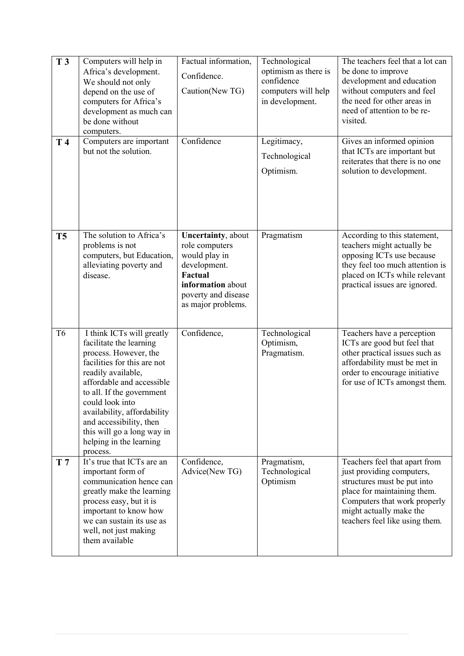| T <sub>3</sub> | Computers will help in<br>Africa's development.<br>We should not only<br>depend on the use of<br>computers for Africa's<br>development as much can<br>be done without<br>computers.                                                                                                                                                            | Factual information,<br>Confidence.<br>Caution(New TG)                                                                                                     | Technological<br>optimism as there is<br>confidence<br>computers will help<br>in development. | The teachers feel that a lot can<br>be done to improve<br>development and education<br>without computers and feel<br>the need for other areas in<br>need of attention to be re-<br>visited.                           |
|----------------|------------------------------------------------------------------------------------------------------------------------------------------------------------------------------------------------------------------------------------------------------------------------------------------------------------------------------------------------|------------------------------------------------------------------------------------------------------------------------------------------------------------|-----------------------------------------------------------------------------------------------|-----------------------------------------------------------------------------------------------------------------------------------------------------------------------------------------------------------------------|
| T 4            | Computers are important<br>but not the solution.                                                                                                                                                                                                                                                                                               | Confidence                                                                                                                                                 | Legitimacy,<br>Technological<br>Optimism.                                                     | Gives an informed opinion<br>that ICTs are important but<br>reiterates that there is no one<br>solution to development.                                                                                               |
| T <sub>5</sub> | The solution to Africa's<br>problems is not<br>computers, but Education,<br>alleviating poverty and<br>disease.                                                                                                                                                                                                                                | <b>Uncertainty</b> , about<br>role computers<br>would play in<br>development.<br>Factual<br>information about<br>poverty and disease<br>as major problems. | Pragmatism                                                                                    | According to this statement,<br>teachers might actually be<br>opposing ICTs use because<br>they feel too much attention is<br>placed on ICTs while relevant<br>practical issues are ignored.                          |
| T <sub>6</sub> | I think ICTs will greatly<br>facilitate the learning<br>process. However, the<br>facilities for this are not<br>readily available,<br>affordable and accessible<br>to all. If the government<br>could look into<br>availability, affordability<br>and accessibility, then<br>this will go a long way in<br>helping in the learning<br>process. | Confidence,                                                                                                                                                | Technological<br>Optimism,<br>Pragmatism.                                                     | Teachers have a perception<br>ICTs are good but feel that<br>other practical issues such as<br>affordability must be met in<br>order to encourage initiative<br>for use of ICTs amongst them.                         |
| T <sub>7</sub> | It's true that ICTs are an<br>important form of<br>communication hence can<br>greatly make the learning<br>process easy, but it is<br>important to know how<br>we can sustain its use as<br>well, not just making<br>them available                                                                                                            | Confidence,<br>Advice(New TG)                                                                                                                              | Pragmatism,<br>Technological<br>Optimism                                                      | Teachers feel that apart from<br>just providing computers,<br>structures must be put into<br>place for maintaining them.<br>Computers that work properly<br>might actually make the<br>teachers feel like using them. |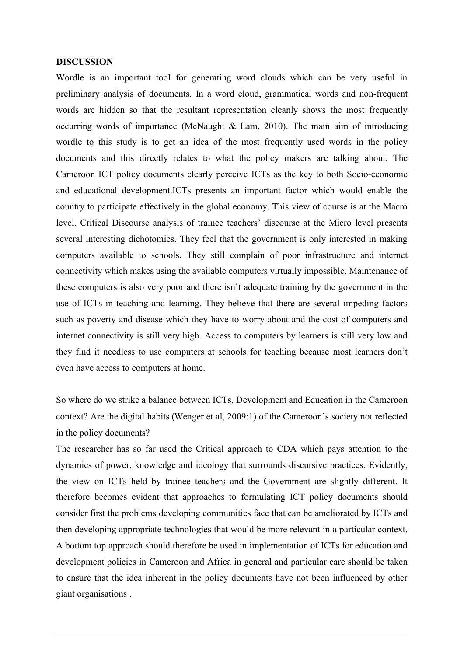#### **DISCUSSION**

Wordle is an important tool for generating word clouds which can be very useful in preliminary analysis of documents. In a word cloud, grammatical words and non-frequent words are hidden so that the resultant representation cleanly shows the most frequently occurring words of importance (McNaught  $& Lam, 2010$ ). The main aim of introducing wordle to this study is to get an idea of the most frequently used words in the policy documents and this directly relates to what the policy makers are talking about. The Cameroon ICT policy documents clearly perceive ICTs as the key to both Socio-economic and educational development.ICTs presents an important factor which would enable the country to participate effectively in the global economy. This view of course is at the Macro level. Critical Discourse analysis of trainee teachers' discourse at the Micro level presents several interesting dichotomies. They feel that the government is only interested in making computers available to schools. They still complain of poor infrastructure and internet connectivity which makes using the available computers virtually impossible. Maintenance of these computers is also very poor and there isn't adequate training by the government in the use of ICTs in teaching and learning. They believe that there are several impeding factors such as poverty and disease which they have to worry about and the cost of computers and internet connectivity is still very high. Access to computers by learners is still very low and they find it needless to use computers at schools for teaching because most learners don't even have access to computers at home.

So where do we strike a balance between ICTs, Development and Education in the Cameroon context? Are the digital habits (Wenger et al, 2009:1) of the Cameroon's society not reflected in the policy documents?

The researcher has so far used the Critical approach to CDA which pays attention to the dynamics of power, knowledge and ideology that surrounds discursive practices. Evidently, the view on ICTs held by trainee teachers and the Government are slightly different. It therefore becomes evident that approaches to formulating ICT policy documents should consider first the problems developing communities face that can be ameliorated by ICTs and then developing appropriate technologies that would be more relevant in a particular context. A bottom top approach should therefore be used in implementation of ICTs for education and development policies in Cameroon and Africa in general and particular care should be taken to ensure that the idea inherent in the policy documents have not been influenced by other giant organisations .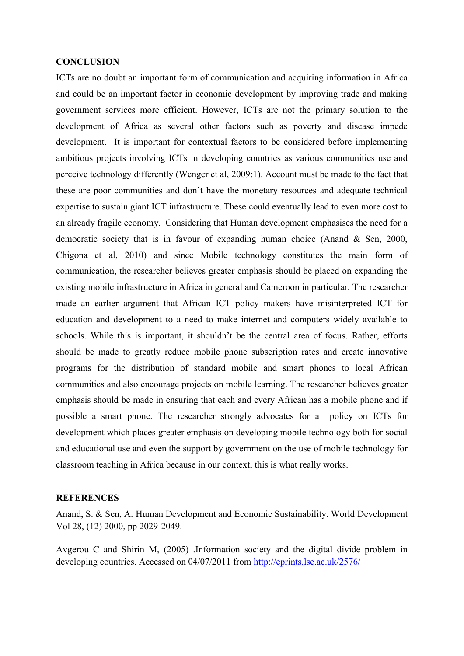#### **CONCLUSION**

ICTs are no doubt an important form of communication and acquiring information in Africa and could be an important factor in economic development by improving trade and making government services more efficient. However, ICTs are not the primary solution to the development of Africa as several other factors such as poverty and disease impede development. It is important for contextual factors to be considered before implementing ambitious projects involving ICTs in developing countries as various communities use and perceive technology differently (Wenger et al, 2009:1). Account must be made to the fact that these are poor communities and don't have the monetary resources and adequate technical expertise to sustain giant ICT infrastructure. These could eventually lead to even more cost to an already fragile economy. Considering that Human development emphasises the need for a democratic society that is in favour of expanding human choice (Anand & Sen, 2000, Chigona et al, 2010) and since Mobile technology constitutes the main form of communication, the researcher believes greater emphasis should be placed on expanding the existing mobile infrastructure in Africa in general and Cameroon in particular. The researcher made an earlier argument that African ICT policy makers have misinterpreted ICT for education and development to a need to make internet and computers widely available to schools. While this is important, it shouldn't be the central area of focus. Rather, efforts should be made to greatly reduce mobile phone subscription rates and create innovative programs for the distribution of standard mobile and smart phones to local African communities and also encourage projects on mobile learning. The researcher believes greater emphasis should be made in ensuring that each and every African has a mobile phone and if possible a smart phone. The researcher strongly advocates for a policy on ICTs for development which places greater emphasis on developing mobile technology both for social and educational use and even the support by government on the use of mobile technology for classroom teaching in Africa because in our context, this is what really works.

#### **REFERENCES**

Anand, S. & Sen, A. Human Development and Economic Sustainability. World Development Vol 28, (12) 2000, pp 2029-2049.

Avgerou C and Shirin M, (2005) .Information society and the digital divide problem in developing countries. Accessed on 04/07/2011 from<http://eprints.lse.ac.uk/2576/>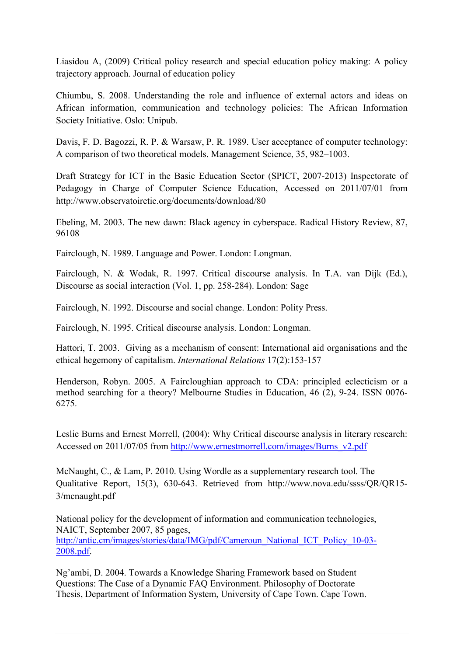Liasidou A, (2009) Critical policy research and special education policy making: A policy trajectory approach. Journal of education policy

Chiumbu, S. 2008. Understanding the role and influence of external actors and ideas on African information, communication and technology policies: The African Information Society Initiative. Oslo: Unipub.

Davis, F. D. Bagozzi, R. P. & Warsaw, P. R. 1989. User acceptance of computer technology: A comparison of two theoretical models. Management Science, 35, 982–1003.

Draft Strategy for ICT in the Basic Education Sector (SPICT, 2007-2013) Inspectorate of Pedagogy in Charge of Computer Science Education, Accessed on 2011/07/01 from http://www.observatoiretic.org/documents/download/80

Ebeling, M. 2003. The new dawn: Black agency in cyberspace. Radical History Review, 87, 96108

Fairclough, N. 1989. Language and Power. London: Longman.

Fairclough, N. & Wodak, R. 1997. Critical discourse analysis. In T.A. van Dijk (Ed.), Discourse as social interaction (Vol. 1, pp. 258-284). London: Sage

Fairclough, N. 1992. Discourse and social change. London: Polity Press.

Fairclough, N. 1995. Critical discourse analysis. London: Longman.

Hattori, T. 2003. Giving as a mechanism of consent: International aid organisations and the ethical hegemony of capitalism. *International Relations* 17(2):153-157

Henderson, Robyn. 2005. A Faircloughian approach to CDA: principled eclecticism or a method searching for a theory? Melbourne Studies in Education, 46 (2), 9-24. ISSN 0076- 6275.

Leslie Burns and Ernest Morrell, (2004): Why Critical discourse analysis in literary research: Accessed on 2011/07/05 from [http://www.ernestmorrell.com/images/Burns\\_v2.pdf](http://www.ernestmorrell.com/images/Burns_v2.pdf)

McNaught, C., & Lam, P. 2010. Using Wordle as a supplementary research tool. The Qualitative Report, 15(3), 630-643. Retrieved from http://www.nova.edu/ssss/QR/QR15- 3/mcnaught.pdf

National policy for the development of information and communication technologies, NAICT, September 2007, 85 pages, [http://antic.cm/images/stories/data/IMG/pdf/Cameroun\\_National\\_ICT\\_Policy\\_10-03-](http://antic.cm/images/stories/data/IMG/pdf/Cameroun_National_ICT_Policy_10-03-2008.pdf) [2008.pdf.](http://antic.cm/images/stories/data/IMG/pdf/Cameroun_National_ICT_Policy_10-03-2008.pdf)

Ng'ambi, D. 2004. Towards a Knowledge Sharing Framework based on Student Questions: The Case of a Dynamic FAQ Environment. Philosophy of Doctorate Thesis, Department of Information System, University of Cape Town. Cape Town.